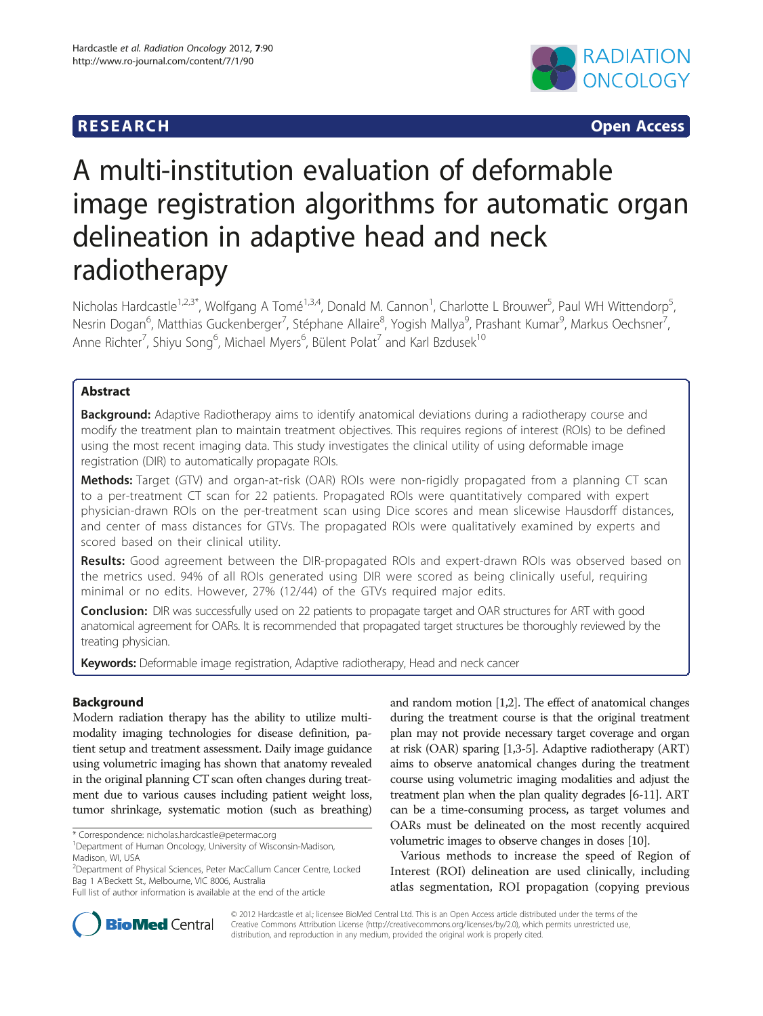# **RESEARCH RESEARCH CONSUMING ACCESS**



# A multi-institution evaluation of deformable image registration algorithms for automatic organ delineation in adaptive head and neck radiotherapy

Nicholas Hardcastle<sup>1,2,3\*</sup>, Wolfgang A Tomé<sup>1,3,4</sup>, Donald M. Cannon<sup>1</sup>, Charlotte L Brouwer<sup>5</sup>, Paul WH Wittendorp<sup>5</sup> , Nesrin Dogan<sup>6</sup>, Matthias Guckenberger<sup>7</sup>, Stéphane Allaire<sup>8</sup>, Yogish Mallya<sup>9</sup>, Prashant Kumar<sup>9</sup>, Markus Oechsner<sup>7</sup> , Anne Richter<sup>7</sup>, Shiyu Song<sup>6</sup>, Michael Myers<sup>6</sup>, Bülent Polat<sup>7</sup> and Karl Bzdusek<sup>10</sup>

# Abstract

Background: Adaptive Radiotherapy aims to identify anatomical deviations during a radiotherapy course and modify the treatment plan to maintain treatment objectives. This requires regions of interest (ROIs) to be defined using the most recent imaging data. This study investigates the clinical utility of using deformable image registration (DIR) to automatically propagate ROIs.

Methods: Target (GTV) and organ-at-risk (OAR) ROIs were non-rigidly propagated from a planning CT scan to a per-treatment CT scan for 22 patients. Propagated ROIs were quantitatively compared with expert physician-drawn ROIs on the per-treatment scan using Dice scores and mean slicewise Hausdorff distances, and center of mass distances for GTVs. The propagated ROIs were qualitatively examined by experts and scored based on their clinical utility.

Results: Good agreement between the DIR-propagated ROIs and expert-drawn ROIs was observed based on the metrics used. 94% of all ROIs generated using DIR were scored as being clinically useful, requiring minimal or no edits. However, 27% (12/44) of the GTVs required major edits.

Conclusion: DIR was successfully used on 22 patients to propagate target and OAR structures for ART with good anatomical agreement for OARs. It is recommended that propagated target structures be thoroughly reviewed by the treating physician.

Keywords: Deformable image registration, Adaptive radiotherapy, Head and neck cancer

# Background

Modern radiation therapy has the ability to utilize multimodality imaging technologies for disease definition, patient setup and treatment assessment. Daily image guidance using volumetric imaging has shown that anatomy revealed in the original planning CT scan often changes during treatment due to various causes including patient weight loss, tumor shrinkage, systematic motion (such as breathing)

\* Correspondence: [nicholas.hardcastle@petermac.org](mailto:nicholas.hardcastle@petermac.org) <sup>1</sup>

and random motion [\[1,2](#page-5-0)]. The effect of anatomical changes during the treatment course is that the original treatment plan may not provide necessary target coverage and organ at risk (OAR) sparing [[1,3](#page-5-0)-[5](#page-5-0)]. Adaptive radiotherapy (ART) aims to observe anatomical changes during the treatment course using volumetric imaging modalities and adjust the treatment plan when the plan quality degrades [\[6-11\]](#page-5-0). ART can be a time-consuming process, as target volumes and OARs must be delineated on the most recently acquired volumetric images to observe changes in doses [\[10\]](#page-5-0).

Various methods to increase the speed of Region of Interest (ROI) delineation are used clinically, including atlas segmentation, ROI propagation (copying previous



© 2012 Hardcastle et al.; licensee BioMed Central Ltd. This is an Open Access article distributed under the terms of the Creative Commons Attribution License (<http://creativecommons.org/licenses/by/2.0>), which permits unrestricted use, distribution, and reproduction in any medium, provided the original work is properly cited.

<sup>&</sup>lt;sup>1</sup> Department of Human Oncology, University of Wisconsin-Madison, Madison, WI, USA

<sup>&</sup>lt;sup>2</sup>Department of Physical Sciences, Peter MacCallum Cancer Centre, Locked Bag 1 A'Beckett St., Melbourne, VIC 8006, Australia

Full list of author information is available at the end of the article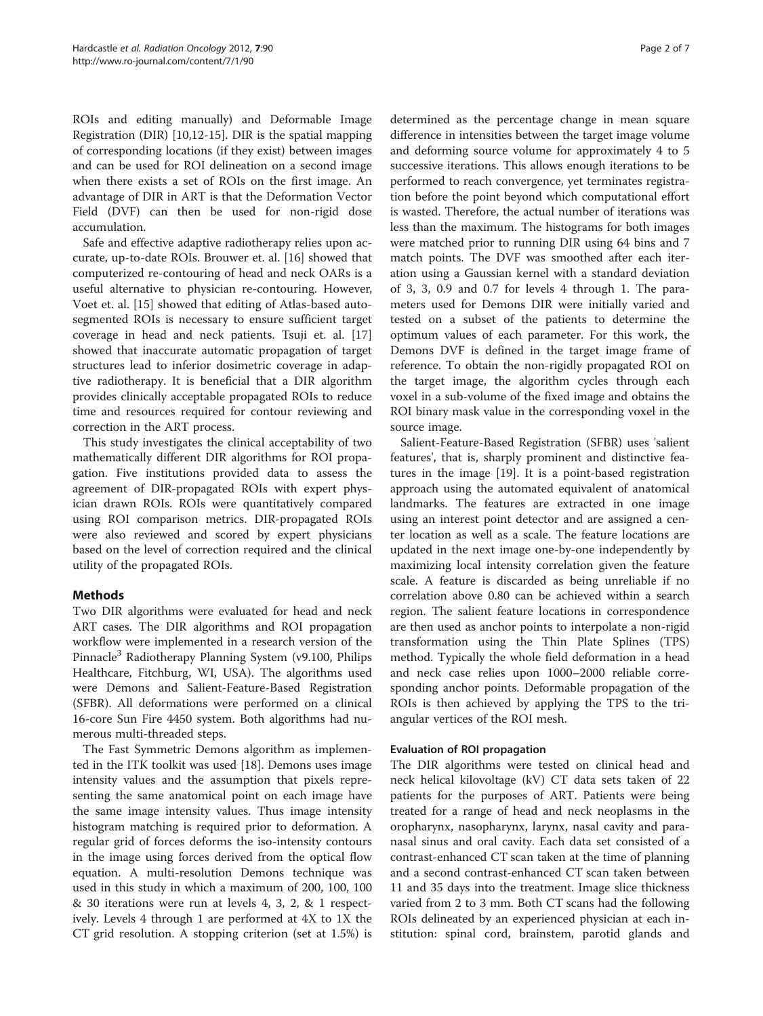ROIs and editing manually) and Deformable Image Registration (DIR) [[10](#page-5-0),[12](#page-5-0)-[15\]](#page-6-0). DIR is the spatial mapping of corresponding locations (if they exist) between images and can be used for ROI delineation on a second image when there exists a set of ROIs on the first image. An advantage of DIR in ART is that the Deformation Vector Field (DVF) can then be used for non-rigid dose accumulation.

Safe and effective adaptive radiotherapy relies upon accurate, up-to-date ROIs. Brouwer et. al. [[16\]](#page-6-0) showed that computerized re-contouring of head and neck OARs is a useful alternative to physician re-contouring. However, Voet et. al. [\[15](#page-6-0)] showed that editing of Atlas-based autosegmented ROIs is necessary to ensure sufficient target coverage in head and neck patients. Tsuji et. al. [[17](#page-6-0)] showed that inaccurate automatic propagation of target structures lead to inferior dosimetric coverage in adaptive radiotherapy. It is beneficial that a DIR algorithm provides clinically acceptable propagated ROIs to reduce time and resources required for contour reviewing and correction in the ART process.

This study investigates the clinical acceptability of two mathematically different DIR algorithms for ROI propagation. Five institutions provided data to assess the agreement of DIR-propagated ROIs with expert physician drawn ROIs. ROIs were quantitatively compared using ROI comparison metrics. DIR-propagated ROIs were also reviewed and scored by expert physicians based on the level of correction required and the clinical utility of the propagated ROIs.

# Methods

Two DIR algorithms were evaluated for head and neck ART cases. The DIR algorithms and ROI propagation workflow were implemented in a research version of the Pinnacle3 Radiotherapy Planning System (v9.100, Philips Healthcare, Fitchburg, WI, USA). The algorithms used were Demons and Salient-Feature-Based Registration (SFBR). All deformations were performed on a clinical 16-core Sun Fire 4450 system. Both algorithms had numerous multi-threaded steps.

The Fast Symmetric Demons algorithm as implemented in the ITK toolkit was used [[18\]](#page-6-0). Demons uses image intensity values and the assumption that pixels representing the same anatomical point on each image have the same image intensity values. Thus image intensity histogram matching is required prior to deformation. A regular grid of forces deforms the iso-intensity contours in the image using forces derived from the optical flow equation. A multi-resolution Demons technique was used in this study in which a maximum of 200, 100, 100 & 30 iterations were run at levels 4, 3, 2, & 1 respectively. Levels 4 through 1 are performed at 4X to 1X the CT grid resolution. A stopping criterion (set at 1.5%) is

determined as the percentage change in mean square difference in intensities between the target image volume and deforming source volume for approximately 4 to 5 successive iterations. This allows enough iterations to be performed to reach convergence, yet terminates registration before the point beyond which computational effort is wasted. Therefore, the actual number of iterations was less than the maximum. The histograms for both images were matched prior to running DIR using 64 bins and 7 match points. The DVF was smoothed after each iteration using a Gaussian kernel with a standard deviation of 3, 3, 0.9 and 0.7 for levels 4 through 1. The parameters used for Demons DIR were initially varied and tested on a subset of the patients to determine the optimum values of each parameter. For this work, the Demons DVF is defined in the target image frame of reference. To obtain the non-rigidly propagated ROI on the target image, the algorithm cycles through each voxel in a sub-volume of the fixed image and obtains the ROI binary mask value in the corresponding voxel in the source image.

Salient-Feature-Based Registration (SFBR) uses 'salient features', that is, sharply prominent and distinctive features in the image [\[19](#page-6-0)]. It is a point-based registration approach using the automated equivalent of anatomical landmarks. The features are extracted in one image using an interest point detector and are assigned a center location as well as a scale. The feature locations are updated in the next image one-by-one independently by maximizing local intensity correlation given the feature scale. A feature is discarded as being unreliable if no correlation above 0.80 can be achieved within a search region. The salient feature locations in correspondence are then used as anchor points to interpolate a non-rigid transformation using the Thin Plate Splines (TPS) method. Typically the whole field deformation in a head and neck case relies upon 1000–2000 reliable corresponding anchor points. Deformable propagation of the ROIs is then achieved by applying the TPS to the triangular vertices of the ROI mesh.

### Evaluation of ROI propagation

The DIR algorithms were tested on clinical head and neck helical kilovoltage (kV) CT data sets taken of 22 patients for the purposes of ART. Patients were being treated for a range of head and neck neoplasms in the oropharynx, nasopharynx, larynx, nasal cavity and paranasal sinus and oral cavity. Each data set consisted of a contrast-enhanced CT scan taken at the time of planning and a second contrast-enhanced CT scan taken between 11 and 35 days into the treatment. Image slice thickness varied from 2 to 3 mm. Both CT scans had the following ROIs delineated by an experienced physician at each institution: spinal cord, brainstem, parotid glands and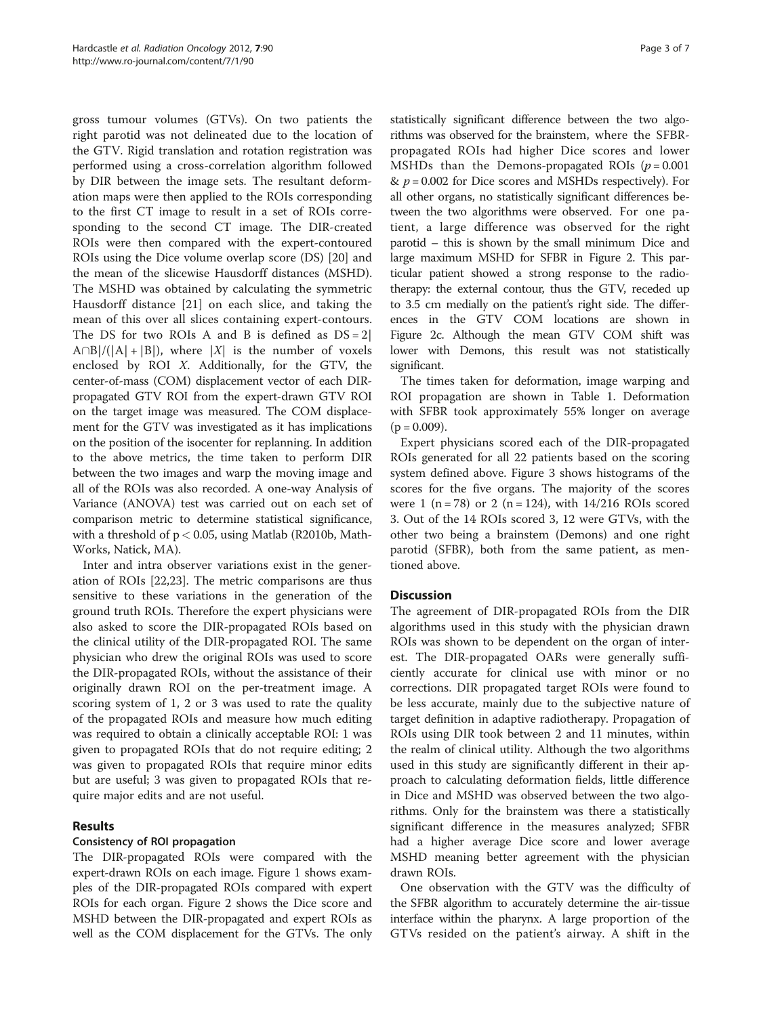gross tumour volumes (GTVs). On two patients the right parotid was not delineated due to the location of the GTV. Rigid translation and rotation registration was performed using a cross-correlation algorithm followed by DIR between the image sets. The resultant deformation maps were then applied to the ROIs corresponding to the first CT image to result in a set of ROIs corresponding to the second CT image. The DIR-created ROIs were then compared with the expert-contoured ROIs using the Dice volume overlap score (DS) [\[20](#page-6-0)] and the mean of the slicewise Hausdorff distances (MSHD). The MSHD was obtained by calculating the symmetric Hausdorff distance [[21](#page-6-0)] on each slice, and taking the mean of this over all slices containing expert-contours. The DS for two ROIs A and B is defined as  $DS = 2$ |  $A\cap B|/(|A| + |B|)$ , where |X| is the number of voxels enclosed by ROI X. Additionally, for the GTV, the center-of-mass (COM) displacement vector of each DIRpropagated GTV ROI from the expert-drawn GTV ROI on the target image was measured. The COM displacement for the GTV was investigated as it has implications on the position of the isocenter for replanning. In addition to the above metrics, the time taken to perform DIR between the two images and warp the moving image and all of the ROIs was also recorded. A one-way Analysis of Variance (ANOVA) test was carried out on each set of comparison metric to determine statistical significance, with a threshold of  $p < 0.05$ , using Matlab (R2010b, Math-Works, Natick, MA).

Inter and intra observer variations exist in the generation of ROIs [\[22,23](#page-6-0)]. The metric comparisons are thus sensitive to these variations in the generation of the ground truth ROIs. Therefore the expert physicians were also asked to score the DIR-propagated ROIs based on the clinical utility of the DIR-propagated ROI. The same physician who drew the original ROIs was used to score the DIR-propagated ROIs, without the assistance of their originally drawn ROI on the per-treatment image. A scoring system of 1, 2 or 3 was used to rate the quality of the propagated ROIs and measure how much editing was required to obtain a clinically acceptable ROI: 1 was given to propagated ROIs that do not require editing; 2 was given to propagated ROIs that require minor edits but are useful; 3 was given to propagated ROIs that require major edits and are not useful.

# Results

# Consistency of ROI propagation

The DIR-propagated ROIs were compared with the expert-drawn ROIs on each image. Figure [1](#page-3-0) shows examples of the DIR-propagated ROIs compared with expert ROIs for each organ. Figure [2](#page-3-0) shows the Dice score and MSHD between the DIR-propagated and expert ROIs as well as the COM displacement for the GTVs. The only

statistically significant difference between the two algorithms was observed for the brainstem, where the SFBRpropagated ROIs had higher Dice scores and lower MSHDs than the Demons-propagated ROIs  $(p = 0.001$ &  $p = 0.002$  for Dice scores and MSHDs respectively). For all other organs, no statistically significant differences between the two algorithms were observed. For one patient, a large difference was observed for the right parotid – this is shown by the small minimum Dice and large maximum MSHD for SFBR in Figure [2.](#page-3-0) This particular patient showed a strong response to the radiotherapy: the external contour, thus the GTV, receded up to 3.5 cm medially on the patient's right side. The differences in the GTV COM locations are shown in Figure [2c.](#page-3-0) Although the mean GTV COM shift was lower with Demons, this result was not statistically significant.

The times taken for deformation, image warping and ROI propagation are shown in Table [1.](#page-4-0) Deformation with SFBR took approximately 55% longer on average  $(p = 0.009)$ .

Expert physicians scored each of the DIR-propagated ROIs generated for all 22 patients based on the scoring system defined above. Figure [3](#page-4-0) shows histograms of the scores for the five organs. The majority of the scores were 1 (n = 78) or 2 (n = 124), with  $14/216$  ROIs scored 3. Out of the 14 ROIs scored 3, 12 were GTVs, with the other two being a brainstem (Demons) and one right parotid (SFBR), both from the same patient, as mentioned above.

# **Discussion**

The agreement of DIR-propagated ROIs from the DIR algorithms used in this study with the physician drawn ROIs was shown to be dependent on the organ of interest. The DIR-propagated OARs were generally sufficiently accurate for clinical use with minor or no corrections. DIR propagated target ROIs were found to be less accurate, mainly due to the subjective nature of target definition in adaptive radiotherapy. Propagation of ROIs using DIR took between 2 and 11 minutes, within the realm of clinical utility. Although the two algorithms used in this study are significantly different in their approach to calculating deformation fields, little difference in Dice and MSHD was observed between the two algorithms. Only for the brainstem was there a statistically significant difference in the measures analyzed; SFBR had a higher average Dice score and lower average MSHD meaning better agreement with the physician drawn ROIs.

One observation with the GTV was the difficulty of the SFBR algorithm to accurately determine the air-tissue interface within the pharynx. A large proportion of the GTVs resided on the patient's airway. A shift in the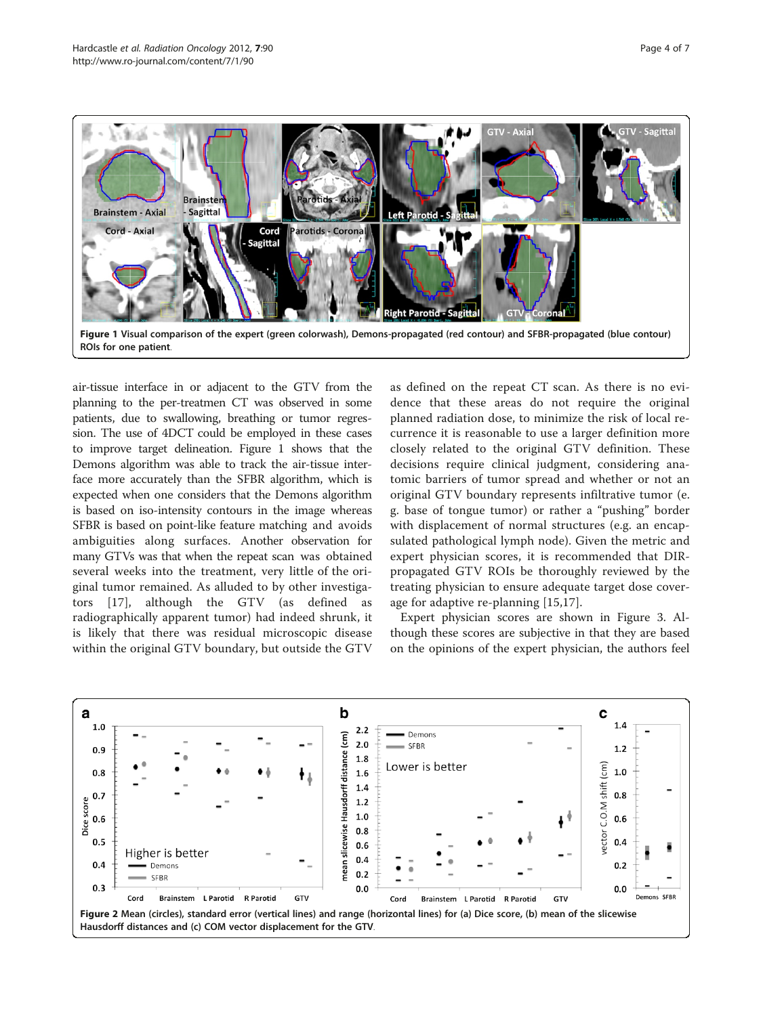

<span id="page-3-0"></span>

air-tissue interface in or adjacent to the GTV from the planning to the per-treatmen CT was observed in some patients, due to swallowing, breathing or tumor regression. The use of 4DCT could be employed in these cases to improve target delineation. Figure 1 shows that the Demons algorithm was able to track the air-tissue interface more accurately than the SFBR algorithm, which is expected when one considers that the Demons algorithm is based on iso-intensity contours in the image whereas SFBR is based on point-like feature matching and avoids ambiguities along surfaces. Another observation for many GTVs was that when the repeat scan was obtained several weeks into the treatment, very little of the original tumor remained. As alluded to by other investigators [[17](#page-6-0)], although the GTV (as defined as radiographically apparent tumor) had indeed shrunk, it is likely that there was residual microscopic disease within the original GTV boundary, but outside the GTV

as defined on the repeat CT scan. As there is no evidence that these areas do not require the original planned radiation dose, to minimize the risk of local recurrence it is reasonable to use a larger definition more closely related to the original GTV definition. These decisions require clinical judgment, considering anatomic barriers of tumor spread and whether or not an original GTV boundary represents infiltrative tumor (e. g. base of tongue tumor) or rather a "pushing" border with displacement of normal structures (e.g. an encapsulated pathological lymph node). Given the metric and expert physician scores, it is recommended that DIRpropagated GTV ROIs be thoroughly reviewed by the treating physician to ensure adequate target dose coverage for adaptive re-planning [\[15,17](#page-6-0)].

Expert physician scores are shown in Figure [3.](#page-4-0) Although these scores are subjective in that they are based on the opinions of the expert physician, the authors feel

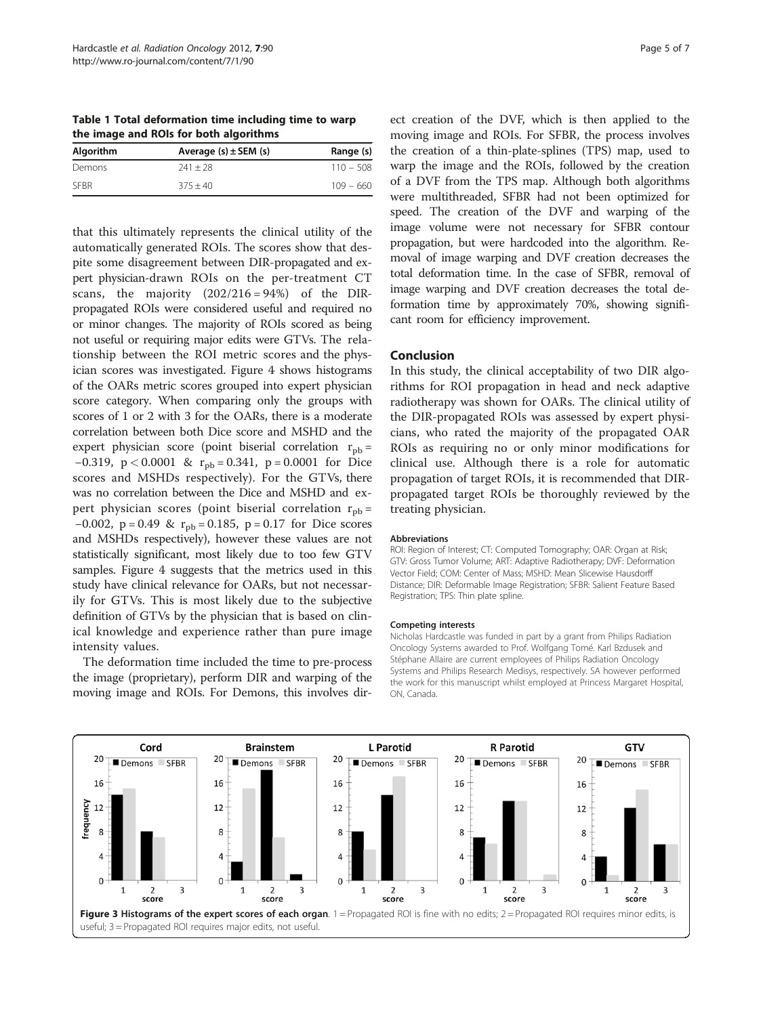<span id="page-4-0"></span>Table 1 Total deformation time including time to warp the image and ROIs for both algorithms

| Algorithm | Average $(s) \pm$ SEM $(s)$ | Range (s)   |
|-----------|-----------------------------|-------------|
| Demons    | $241 + 28$                  | $110 - 508$ |
| SEBR      | $375 + 40$                  | $109 - 660$ |

that this ultimately represents the clinical utility of the automatically generated ROIs. The scores show that despite some disagreement between DIR-propagated and expert physician-drawn ROIs on the per-treatment CT scans, the majority  $(202/216 = 94%)$  of the DIRpropagated ROIs were considered useful and required no or minor changes. The majority of ROIs scored as being not useful or requiring major edits were GTVs. The relationship between the ROI metric scores and the physician scores was investigated. Figure [4](#page-5-0) shows histograms of the OARs metric scores grouped into expert physician score category. When comparing only the groups with scores of 1 or 2 with 3 for the OARs, there is a moderate correlation between both Dice score and MSHD and the expert physician score (point biserial correlation  $r_{\text{pb}} =$ −0.319, p < 0.0001 & r<sub>pb</sub> = 0.341, p = 0.0001 for Dice scores and MSHDs respectively). For the GTVs, there was no correlation between the Dice and MSHD and expert physician scores (point biserial correlation  $r_{\rm pb}$  = −0.002, p = 0.49 & r<sub>pb</sub> = 0.185, p = 0.17 for Dice scores and MSHDs respectively), however these values are not statistically significant, most likely due to too few GTV samples. Figure [4](#page-5-0) suggests that the metrics used in this study have clinical relevance for OARs, but not necessarily for GTVs. This is most likely due to the subjective definition of GTVs by the physician that is based on clinical knowledge and experience rather than pure image intensity values.

The deformation time included the time to pre-process the image (proprietary), perform DIR and warping of the moving image and ROIs. For Demons, this involves dir-

ect creation of the DVF, which is then applied to the moving image and ROIs. For SFBR, the process involves the creation of a thin-plate-splines (TPS) map, used to warp the image and the ROIs, followed by the creation of a DVF from the TPS map. Although both algorithms were multithreaded, SFBR had not been optimized for speed. The creation of the DVF and warping of the image volume were not necessary for SFBR contour propagation, but were hardcoded into the algorithm. Removal of image warping and DVF creation decreases the total deformation time. In the case of SFBR, removal of image warping and DVF creation decreases the total deformation time by approximately 70%, showing significant room for efficiency improvement.

#### Conclusion

In this study, the clinical acceptability of two DIR algorithms for ROI propagation in head and neck adaptive radiotherapy was shown for OARs. The clinical utility of the DIR-propagated ROIs was assessed by expert physicians, who rated the majority of the propagated OAR ROIs as requiring no or only minor modifications for clinical use. Although there is a role for automatic propagation of target ROIs, it is recommended that DIRpropagated target ROIs be thoroughly reviewed by the treating physician.

#### Abbreviations

ROI: Region of Interest; CT: Computed Tomography; OAR: Organ at Risk; GTV: Gross Tumor Volume; ART: Adaptive Radiotherapy; DVF: Deformation Vector Field; COM: Center of Mass; MSHD: Mean Slicewise Hausdorff Distance; DIR: Deformable Image Registration; SFBR: Salient Feature Based Registration; TPS: Thin plate spline.

#### Competing interests

Nicholas Hardcastle was funded in part by a grant from Philips Radiation Oncology Systems awarded to Prof. Wolfgang Tomé. Karl Bzdusek and Stéphane Allaire are current employees of Philips Radiation Oncology Systems and Philips Research Medisys, respectively. SA however performed the work for this manuscript whilst employed at Princess Margaret Hospital, ON, Canada.

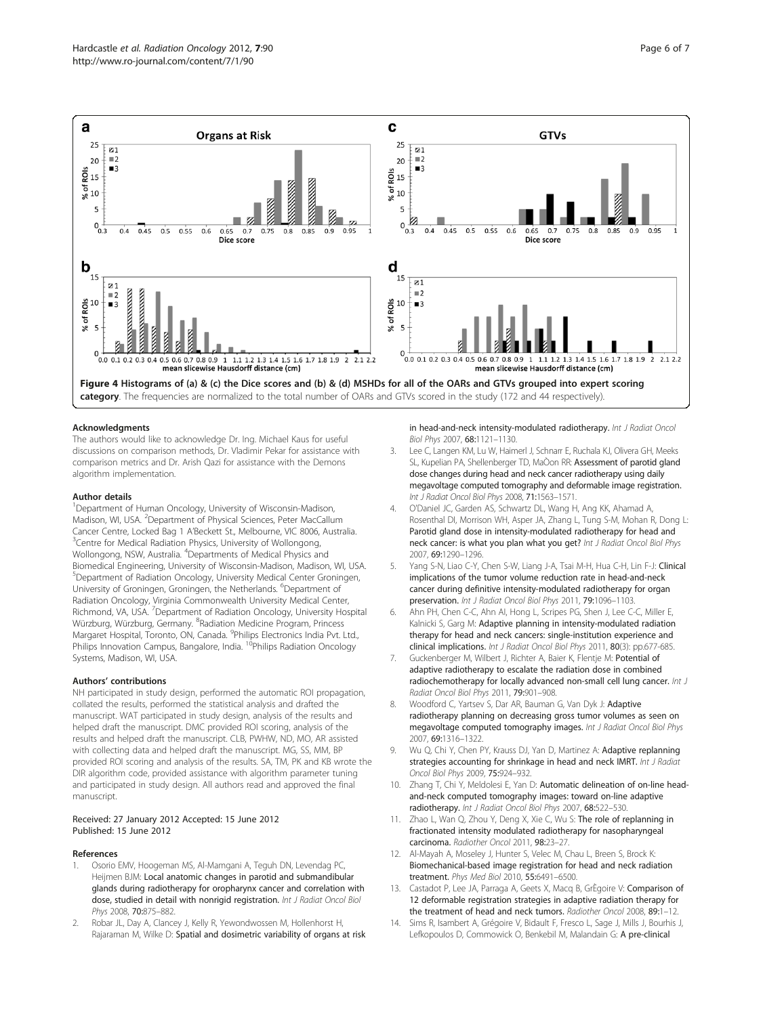<span id="page-5-0"></span>

#### Acknowledgments

The authors would like to acknowledge Dr. Ing. Michael Kaus for useful discussions on comparison methods, Dr. Vladimir Pekar for assistance with comparison metrics and Dr. Arish Qazi for assistance with the Demons algorithm implementation.

#### Author details

<sup>1</sup>Department of Human Oncology, University of Wisconsin-Madison, Madison, WI, USA. <sup>2</sup>Department of Physical Sciences, Peter MacCallum Cancer Centre, Locked Bag 1 A'Beckett St., Melbourne, VIC 8006, Australia. <sup>3</sup> <sup>3</sup> Centre for Medical Radiation Physics, University of Wollongong, Wollongong, NSW, Australia. <sup>4</sup> Departments of Medical Physics and Biomedical Engineering, University of Wisconsin-Madison, Madison, WI, USA. 5 Department of Radiation Oncology, University Medical Center Groningen, University of Groningen, Groningen, the Netherlands. <sup>6</sup>Department of Radiation Oncology, Virginia Commonwealth University Medical Center, Richmond, VA, USA. <sup>7</sup>Department of Radiation Oncology, University Hospital Würzburg, Würzburg, Germany. <sup>8</sup>Radiation Medicine Program, Princess Margaret Hospital, Toronto, ON, Canada. <sup>9</sup>Philips Electronics India Pvt. Ltd., Philips Innovation Campus, Bangalore, India. <sup>10</sup>Philips Radiation Oncology Systems, Madison, WI, USA.

#### Authors' contributions

NH participated in study design, performed the automatic ROI propagation, collated the results, performed the statistical analysis and drafted the manuscript. WAT participated in study design, analysis of the results and helped draft the manuscript. DMC provided ROI scoring, analysis of the results and helped draft the manuscript. CLB, PWHW, ND, MO, AR assisted with collecting data and helped draft the manuscript. MG, SS, MM, BP provided ROI scoring and analysis of the results. SA, TM, PK and KB wrote the DIR algorithm code, provided assistance with algorithm parameter tuning and participated in study design. All authors read and approved the final manuscript.

#### Received: 27 January 2012 Accepted: 15 June 2012 Published: 15 June 2012

#### References

- 1. Osorio EMV, Hoogeman MS, Al-Mamgani A, Teguh DN, Levendag PC, Heijmen BJM: Local anatomic changes in parotid and submandibular glands during radiotherapy for oropharynx cancer and correlation with dose, studied in detail with nonrigid registration. Int J Radiat Oncol Biol Phys 2008, 70:875–882.
- 2. Robar JL, Day A, Clancey J, Kelly R, Yewondwossen M, Hollenhorst H, Rajaraman M, Wilke D: Spatial and dosimetric variability of organs at risk

in head-and-neck intensity-modulated radiotherapy. Int J Radiat Oncol Biol Phys 2007, 68:1121–1130.

- Lee C, Langen KM, Lu W, Haimerl J, Schnarr E, Ruchala KJ, Olivera GH, Meeks SL, Kupelian PA, Shellenberger TD, MaÒon RR: Assessment of parotid gland dose changes during head and neck cancer radiotherapy using daily megavoltage computed tomography and deformable image registration. Int J Radiat Oncol Biol Phys 2008, 71:1563–1571.
- 4. O'Daniel JC, Garden AS, Schwartz DL, Wang H, Ang KK, Ahamad A, Rosenthal DI, Morrison WH, Asper JA, Zhang L, Tung S-M, Mohan R, Dong L: Parotid gland dose in intensity-modulated radiotherapy for head and neck cancer: is what you plan what you get? Int J Radiat Oncol Biol Phys 2007, 69:1290–1296.
- 5. Yang S-N, Liao C-Y, Chen S-W, Liang J-A, Tsai M-H, Hua C-H, Lin F-J: Clinical implications of the tumor volume reduction rate in head-and-neck cancer during definitive intensity-modulated radiotherapy for organ preservation. Int J Radiat Oncol Biol Phys 2011, 79:1096–1103.
- 6. Ahn PH, Chen C-C, Ahn AI, Hong L, Scripes PG, Shen J, Lee C-C, Miller E, Kalnicki S, Garg M: Adaptive planning in intensity-modulated radiation therapy for head and neck cancers: single-institution experience and clinical implications. Int J Radiat Oncol Biol Phys 2011, 80(3): pp.677-685.
- 7. Guckenberger M, Wilbert J, Richter A, Baier K, Flentie M: Potential of adaptive radiotherapy to escalate the radiation dose in combined radiochemotherapy for locally advanced non-small cell lung cancer. Int J Radiat Oncol Biol Phys 2011, 79:901–908.
- 8. Woodford C, Yartsev S, Dar AR, Bauman G, Van Dyk J: Adaptive radiotherapy planning on decreasing gross tumor volumes as seen on megavoltage computed tomography images. Int J Radiat Oncol Biol Phys 2007, 69:1316–1322.
- Wu Q, Chi Y, Chen PY, Krauss DJ, Yan D, Martinez A: Adaptive replanning strategies accounting for shrinkage in head and neck IMRT. Int J Radiat Oncol Biol Phys 2009, 75:924–932.
- 10. Zhang T, Chi Y, Meldolesi E, Yan D: Automatic delineation of on-line headand-neck computed tomography images: toward on-line adaptive radiotherapy. Int J Radiat Oncol Biol Phys 2007, 68:522–530.
- Zhao L, Wan Q, Zhou Y, Deng X, Xie C, Wu S: The role of replanning in fractionated intensity modulated radiotherapy for nasopharyngeal carcinoma. Radiother Oncol 2011, 98:23–27.
- 12. Al-Mayah A, Moseley J, Hunter S, Velec M, Chau L, Breen S, Brock K: Biomechanical-based image registration for head and neck radiation treatment. Phys Med Biol 2010, 55:6491–6500.
- 13. Castadot P, Lee JA, Parraga A, Geets X, Macg B, GrÈgoire V: Comparison of 12 deformable registration strategies in adaptive radiation therapy for the treatment of head and neck tumors. Radiother Oncol 2008, 89:1-12.
- 14. Sims R, Isambert A, Grégoire V, Bidault F, Fresco L, Sage J, Mills J, Bourhis J, Lefkopoulos D, Commowick O, Benkebil M, Malandain G: A pre-clinical